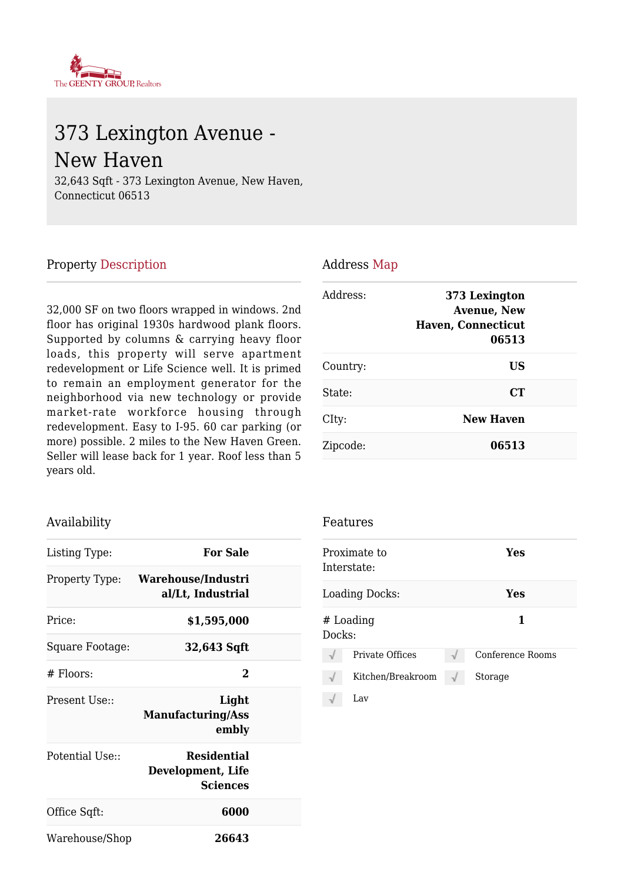

# 373 Lexington Avenue - New Haven

32,643 Sqft - 373 Lexington Avenue, New Haven, Connecticut 06513

#### Property Description

32,000 SF on two floors wrapped in windows. 2nd floor has original 1930s hardwood plank floors. Supported by columns & carrying heavy floor loads, this property will serve apartment redevelopment or Life Science well. It is primed to remain an employment generator for the neighborhood via new technology or provide market-rate workforce housing through redevelopment. Easy to I-95. 60 car parking (or more) possible. 2 miles to the New Haven Green. Seller will lease back for 1 year. Roof less than 5 years old.

#### Availability

| Listing Type:   | <b>For Sale</b>                                            |  |
|-----------------|------------------------------------------------------------|--|
| Property Type:  | Warehouse/Industri<br>al/Lt, Industrial                    |  |
| Price:          | \$1,595,000                                                |  |
| Square Footage: | 32,643 Sqft                                                |  |
| $#$ Floors:     | 2                                                          |  |
| Present Use::   | Light<br><b>Manufacturing/Ass</b><br>embly                 |  |
| Potential Use:: | <b>Residential</b><br>Development, Life<br><b>Sciences</b> |  |
| Office Sqft:    | 6000                                                       |  |
| Warehouse/Shop  | 26643                                                      |  |

#### Address Map

| Address: | 373 Lexington<br><b>Avenue, New</b><br><b>Haven, Connecticut</b><br>06513 |  |
|----------|---------------------------------------------------------------------------|--|
| Country: | US                                                                        |  |
| State:   | <b>CT</b>                                                                 |  |
| CIty:    | <b>New Haven</b>                                                          |  |
| Zipcode: | 06513                                                                     |  |

#### Features

|        | Proximate to<br>Interstate: | Yes              |
|--------|-----------------------------|------------------|
|        | Loading Docks:              | Yes              |
| Docks: | $#$ Loading                 | 1                |
|        | Private Offices             | Conference Rooms |
|        | Kitchen/Breakroom           | Storage          |
|        | Lav.                        |                  |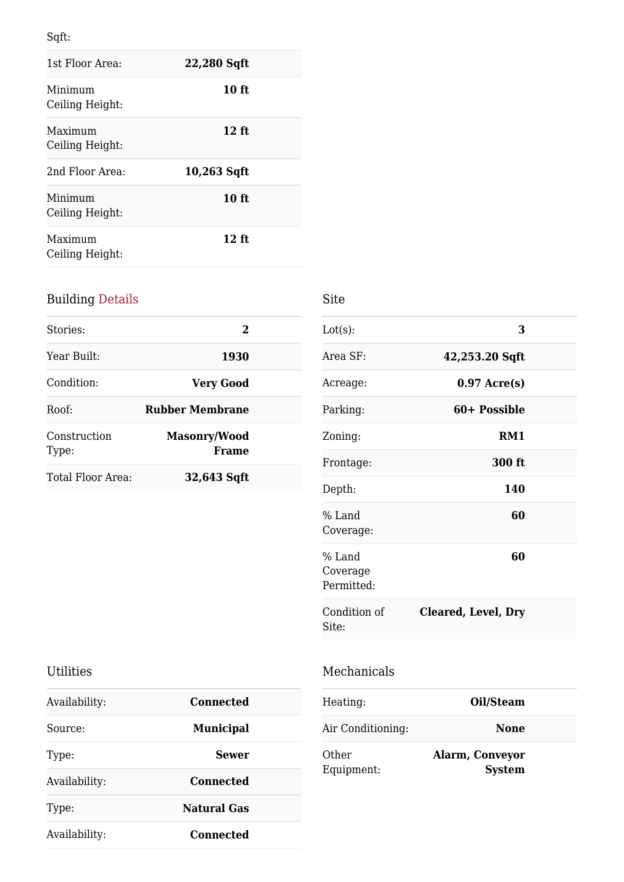Sqft:

| 1st Floor Area:            | 22,280 Sqft   |
|----------------------------|---------------|
| Minimum<br>Ceiling Height: | $10$ ft       |
| Maximum<br>Ceiling Height: | $12$ ft       |
| 2nd Floor Area:            | $10,263$ Sqft |
| Minimum<br>Ceiling Height: | 10 ft         |
| Maximum<br>Ceiling Height: | $12$ ft       |

# Building Details

| Stories:              | 2                                   |  |
|-----------------------|-------------------------------------|--|
| Year Built:           | 1930                                |  |
| Condition:            | <b>Very Good</b>                    |  |
| Roof:                 | <b>Rubber Membrane</b>              |  |
| Construction<br>Type: | <b>Masonry/Wood</b><br><b>Frame</b> |  |
| Total Floor Area:     | 32,643 Sqft                         |  |

| Lot(s):                          | 3                   |  |
|----------------------------------|---------------------|--|
| Area SF:                         | 42,253.20 Sqft      |  |
| Acreage:                         | $0.97$ Acre(s)      |  |
| Parking:                         | 60+ Possible        |  |
| Zoning:                          | RM1                 |  |
| Frontage:                        | 300 ft              |  |
| Depth:                           | 140                 |  |
| % Land<br>Coverage:              | 60                  |  |
| % Land<br>Coverage<br>Permitted: | 60                  |  |
| Condition of<br>Site:            | Cleared, Level, Dry |  |

### Utilities

| Availability: | Connected          |
|---------------|--------------------|
| Source:       | <b>Municipal</b>   |
| Type:         | <b>Sewer</b>       |
| Availability: | Connected          |
| Type:         | <b>Natural Gas</b> |
| Availability: | Connected          |

| Mechanicals |  |
|-------------|--|
|             |  |

| Heating:            | Oil/Steam                               |  |
|---------------------|-----------------------------------------|--|
| Air Conditioning:   | <b>None</b>                             |  |
| Other<br>Equipment: | <b>Alarm, Conveyor</b><br><b>System</b> |  |